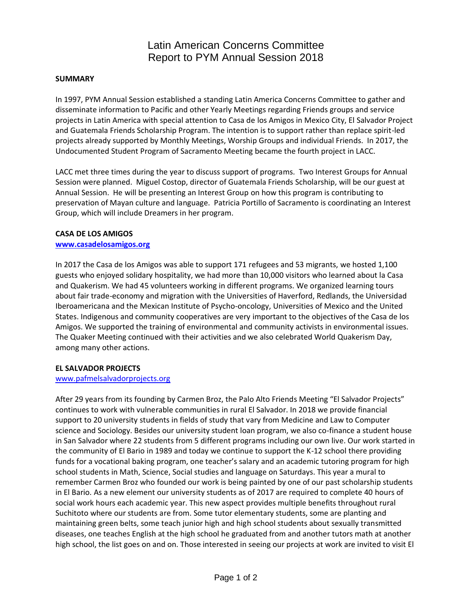## Latin American Concerns Committee Report to PYM Annual Session 2018

### **SUMMARY**

In 1997, PYM Annual Session established a standing Latin America Concerns Committee to gather and disseminate information to Pacific and other Yearly Meetings regarding Friends groups and service projects in Latin America with special attention to Casa de los Amigos in Mexico City, El Salvador Project and Guatemala Friends Scholarship Program. The intention is to support rather than replace spirit-led projects already supported by Monthly Meetings, Worship Groups and individual Friends. In 2017, the Undocumented Student Program of Sacramento Meeting became the fourth project in LACC.

LACC met three times during the year to discuss support of programs. Two Interest Groups for Annual Session were planned. Miguel Costop, director of Guatemala Friends Scholarship, will be our guest at Annual Session. He will be presenting an Interest Group on how this program is contributing to preservation of Mayan culture and language. Patricia Portillo of Sacramento is coordinating an Interest Group, which will include Dreamers in her program.

## **CASA DE LOS AMIGOS**

### **[www.casadelosamigos.org](http://www.casadelosamigos.org/)**

In 2017 the Casa de los Amigos was able to support 171 refugees and 53 migrants, we hosted 1,100 guests who enjoyed solidary hospitality, we had more than 10,000 visitors who learned about la Casa and Quakerism. We had 45 volunteers working in different programs. We organized learning tours about fair trade-economy and migration with the Universities of Haverford, Redlands, the Universidad Iberoamericana and the Mexican Institute of Psycho-oncology, Universities of Mexico and the United States. Indigenous and community cooperatives are very important to the objectives of the Casa de los Amigos. We supported the training of environmental and community activists in environmental issues. The Quaker Meeting continued with their activities and we also celebrated World Quakerism Day, among many other actions.

### **EL SALVADOR PROJECTS**

#### [www.pafmelsalvadorprojects.org](http://www.pafmelsalvadorprojects.org/)

After 29 years from its founding by Carmen Broz, the Palo Alto Friends Meeting "El Salvador Projects" continues to work with vulnerable communities in rural El Salvador. In 2018 we provide financial support to 20 university students in fields of study that vary from Medicine and Law to Computer science and Sociology. Besides our university student loan program, we also co-finance a student house in San Salvador where 22 students from 5 different programs including our own live. Our work started in the community of El Bario in 1989 and today we continue to support the K-12 school there providing funds for a vocational baking program, one teacher's salary and an academic tutoring program for high school students in Math, Science, Social studies and language on Saturdays. This year a mural to remember Carmen Broz who founded our work is being painted by one of our past scholarship students in El Bario. As a new element our university students as of 2017 are required to complete 40 hours of social work hours each academic year. This new aspect provides multiple benefits throughout rural Suchitoto where our students are from. Some tutor elementary students, some are planting and maintaining green belts, some teach junior high and high school students about sexually transmitted diseases, one teaches English at the high school he graduated from and another tutors math at another high school, the list goes on and on. Those interested in seeing our projects at work are invited to visit El